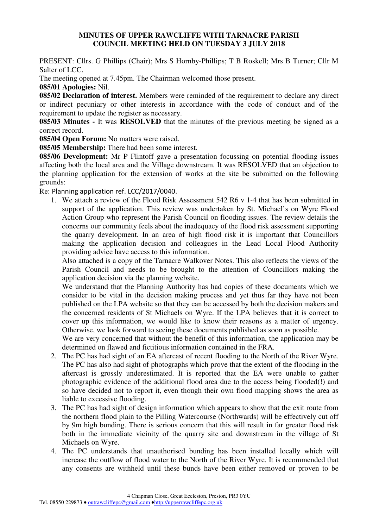## **MINUTES OF UPPER RAWCLIFFE WITH TARNACRE PARISH COUNCIL MEETING HELD ON TUESDAY 3 JULY 2018**

PRESENT: Cllrs. G Phillips (Chair); Mrs S Hornby-Phillips; T B Roskell; Mrs B Turner; Cllr M Salter of LCC.

The meeting opened at 7.45pm. The Chairman welcomed those present.

**085/01 Apologies:** Nil.

**085/02 Declaration of interest.** Members were reminded of the requirement to declare any direct or indirect pecuniary or other interests in accordance with the code of conduct and of the requirement to update the register as necessary.

**085/03 Minutes - It was RESOLVED** that the minutes of the previous meeting be signed as a correct record.

**085/04 Open Forum:** No matters were raised.

**085/05 Membership:** There had been some interest.

**085/06 Development:** Mr P Flintoff gave a presentation focussing on potential flooding issues affecting both the local area and the Village downstream. It was RESOLVED that an objection to the planning application for the extension of works at the site be submitted on the following grounds:

Re: Planning application ref. LCC/2017/0040.

1. We attach a review of the Flood Risk Assessment 542 R6 v 1-4 that has been submitted in support of the application. This review was undertaken by St. Michael's on Wyre Flood Action Group who represent the Parish Council on flooding issues. The review details the concerns our community feels about the inadequacy of the flood risk assessment supporting the quarry development. In an area of high flood risk it is important that Councillors making the application decision and colleagues in the Lead Local Flood Authority providing advice have access to this information.

Also attached is a copy of the Tarnacre Walkover Notes. This also reflects the views of the Parish Council and needs to be brought to the attention of Councillors making the application decision via the planning website.

We understand that the Planning Authority has had copies of these documents which we consider to be vital in the decision making process and yet thus far they have not been published on the LPA website so that they can be accessed by both the decision makers and the concerned residents of St Michaels on Wyre. If the LPA believes that it is correct to cover up this information, we would like to know their reasons as a matter of urgency. Otherwise, we look forward to seeing these documents published as soon as possible.

We are very concerned that without the benefit of this information, the application may be determined on flawed and fictitious information contained in the FRA.

- 2. The PC has had sight of an EA aftercast of recent flooding to the North of the River Wyre. The PC has also had sight of photographs which prove that the extent of the flooding in the aftercast is grossly underestimated. It is reported that the EA were unable to gather photographic evidence of the additional flood area due to the access being flooded(!) and so have decided not to report it, even though their own flood mapping shows the area as liable to excessive flooding.
- 3. The PC has had sight of design information which appears to show that the exit route from the northern flood plain to the Pilling Watercourse (Northwards) will be effectively cut off by 9m high bunding. There is serious concern that this will result in far greater flood risk both in the immediate vicinity of the quarry site and downstream in the village of St Michaels on Wyre.
- 4. The PC understands that unauthorised bunding has been installed locally which will increase the outflow of flood water to the North of the River Wyre. It is recommended that any consents are withheld until these bunds have been either removed or proven to be